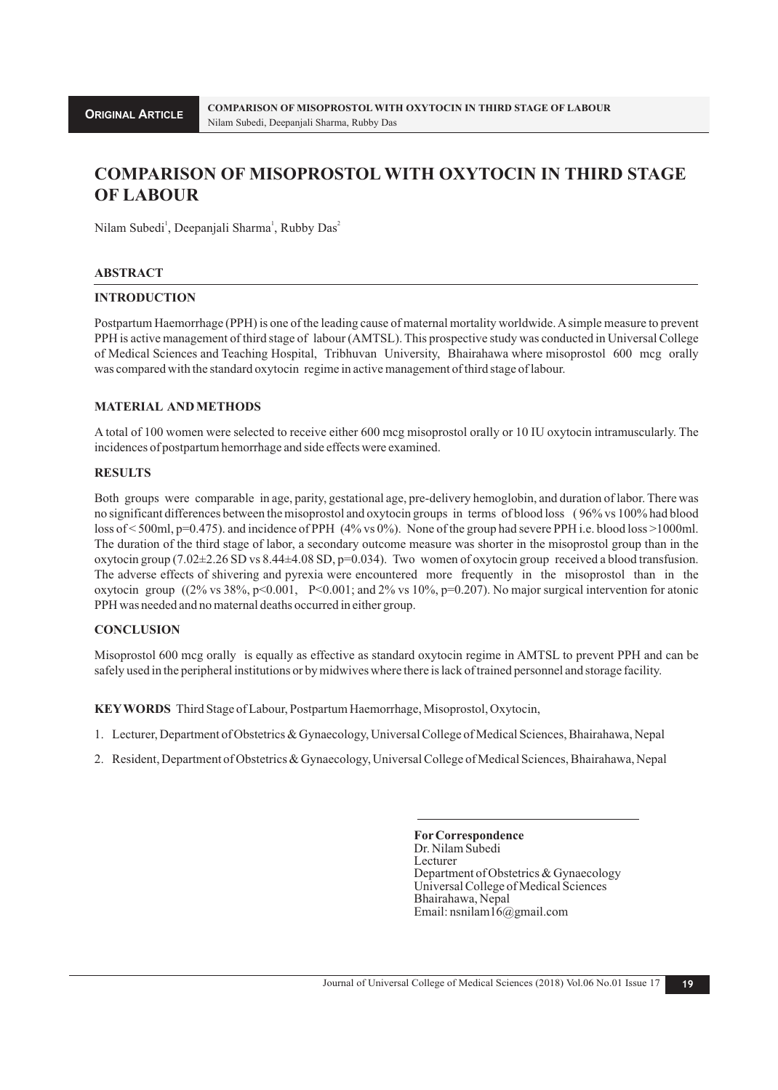# **COMPARISON OF MISOPROSTOL WITH OXYTOCIN IN THIRD STAGE OF LABOUR**

Nilam Subedi<sup>1</sup>, Deepanjali Sharma<sup>1</sup>, Rubby Das<sup>2</sup>

#### **ABSTRACT**

## **INTRODUCTION**

Postpartum Haemorrhage (PPH) is one of the leading cause of maternal mortality worldwide. Asimple measure to prevent PPH is active management of third stage of labour (AMTSL). This prospective study was conducted in Universal College of Medical Sciences and Teaching Hospital, Tribhuvan University, Bhairahawa where misoprostol 600 mcg orally was compared with the standard oxytocin regime in active management of third stage of labour.

## **MATERIAL AND METHODS**

A total of 100 women were selected to receive either 600 mcg misoprostol orally or 10 IU oxytocin intramuscularly. The incidences of postpartum hemorrhage and side effects were examined.

#### **RESULTS**

Both groups were comparable in age, parity, gestational age, pre-delivery hemoglobin, and duration of labor. There was no significant differences between the misoprostol and oxytocin groups in terms of blood loss ( 96% vs 100% had blood loss of < 500ml, p=0.475). and incidence of PPH (4% vs 0%). None of the group had severe PPH i.e. blood loss >1000ml. The duration of the third stage of labor, a secondary outcome measure was shorter in the misoprostol group than in the oxytocin group (7.02±2.26 SD vs 8.44±4.08 SD, p=0.034). Two women of oxytocin group received a blood transfusion. The adverse effects of shivering and pyrexia were encountered more frequently in the misoprostol than in the oxytocin group ((2% vs 38%, p<0.001, P<0.001; and 2% vs 10%, p=0.207). No major surgical intervention for atonic PPH was needed and no maternal deaths occurred in either group.

#### **CONCLUSION**

Misoprostol 600 mcg orally is equally as effective as standard oxytocin regime in AMTSL to prevent PPH and can be safely used in the peripheral institutions or by midwives where there is lack of trained personnel and storage facility.

**KEYWORDS** Third Stage of Labour, Postpartum Haemorrhage, Misoprostol, Oxytocin,

- 1. Lecturer, Department of Obstetrics & Gynaecology, Universal College of Medical Sciences, Bhairahawa, Nepal
- 2. Resident, Department of Obstetrics & Gynaecology, Universal College of Medical Sciences, Bhairahawa, Nepal

**ForCorrespondence** Dr. Nilam Subedi Lecturer Department of Obstetrics & Gynaecology Universal College of Medical Sciences Bhairahawa, Nepal Email: nsnilam16@gmail.com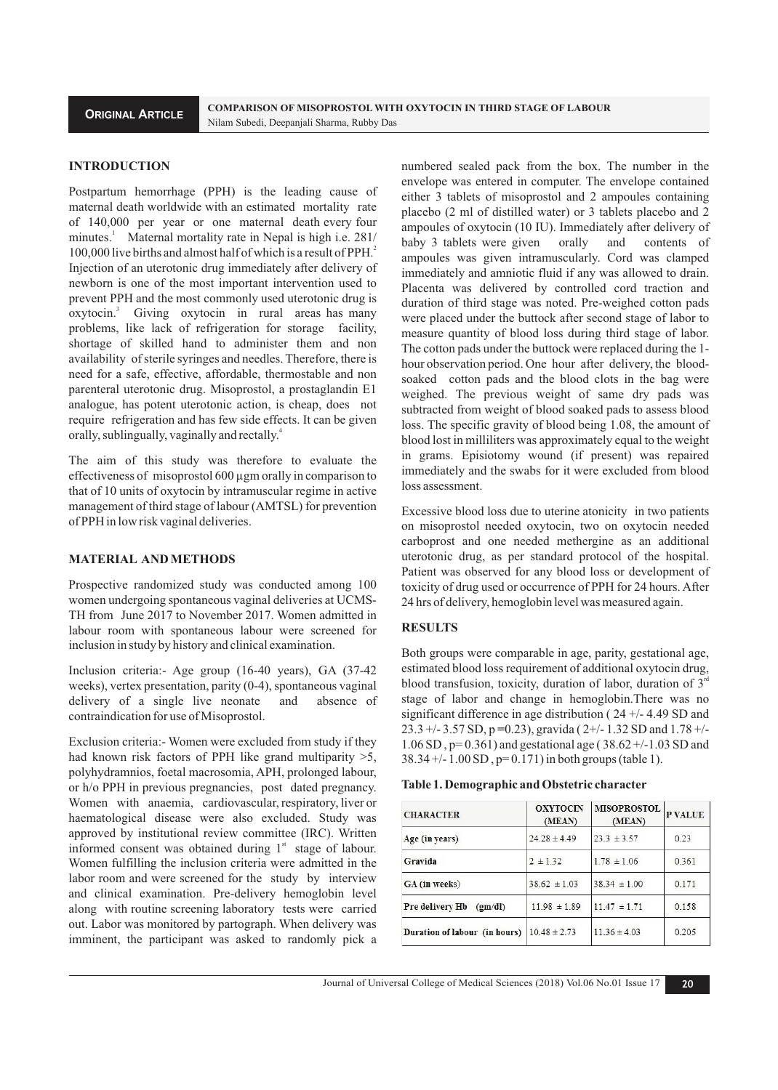#### **INTRODUCTION**

Postpartum hemorrhage (PPH) is the leading cause of maternal death worldwide with an estimated mortality rate of 140,000 per year or one maternal death every four minutes.<sup>1</sup> Maternal mortality rate in Nepal is high i.e. 281/ <sup>2</sup>100,000 live births and almost half of which is a result of PPH. Injection of an uterotonic drug immediately after delivery of newborn is one of the most important intervention used to prevent PPH and the most commonly used uterotonic drug is oxytocin.<sup>3</sup> Giving oxytocin in rural areas has many problems, like lack of refrigeration for storage facility, shortage of skilled hand to administer them and non availability of sterile syringes and needles. Therefore, there is need for a safe, effective, affordable, thermostable and non parenteral uterotonic drug. Misoprostol, a prostaglandin E1 analogue, has potent uterotonic action, is cheap, does not require refrigeration and has few side effects. It can be given orally, sublingually, vaginally and rectally.<sup>4</sup>

The aim of this study was therefore to evaluate the effectiveness of misoprostol 600 µgm orally in comparison to that of 10 units of oxytocin by intramuscular regime in active management of third stage of labour (AMTSL) for prevention of PPH in low risk vaginal deliveries.

#### **MATERIAL AND METHODS**

Prospective randomized study was conducted among 100 women undergoing spontaneous vaginal deliveries at UCMS-TH from June 2017 to November 2017. Women admitted in labour room with spontaneous labour were screened for inclusion in study by history and clinical examination.

Inclusion criteria:- Age group (16-40 years), GA (37-42 weeks), vertex presentation, parity (0-4), spontaneous vaginal delivery of a single live neonate and absence of contraindication for use of Misoprostol.

Exclusion criteria:- Women were excluded from study if they had known risk factors of PPH like grand multiparity >5, polyhydramnios, foetal macrosomia, APH, prolonged labour, or h/o PPH in previous pregnancies, post dated pregnancy. Women with anaemia, cardiovascular, respiratory, liver or haematological disease were also excluded. Study was approved by institutional review committee (IRC). Written informed consent was obtained during  $1<sup>st</sup>$  stage of labour. Women fulfilling the inclusion criteria were admitted in the labor room and were screened for the study by interview and clinical examination. Pre-delivery hemoglobin level along with routine screening laboratory tests were carried out. Labor was monitored by partograph. When delivery was imminent, the participant was asked to randomly pick a

numbered sealed pack from the box. The number in the envelope was entered in computer. The envelope contained either 3 tablets of misoprostol and 2 ampoules containing placebo (2 ml of distilled water) or 3 tablets placebo and 2 ampoules of oxytocin (10 IU). Immediately after delivery of baby 3 tablets were given orally and contents of ampoules was given intramuscularly. Cord was clamped immediately and amniotic fluid if any was allowed to drain. Placenta was delivered by controlled cord traction and duration of third stage was noted. Pre-weighed cotton pads were placed under the buttock after second stage of labor to measure quantity of blood loss during third stage of labor. The cotton pads under the buttock were replaced during the 1 hour observation period. One hour after delivery, the bloodsoaked cotton pads and the blood clots in the bag were weighed. The previous weight of same dry pads was subtracted from weight of blood soaked pads to assess blood loss. The specific gravity of blood being 1.08, the amount of blood lost in milliliters was approximately equal to the weight in grams. Episiotomy wound (if present) was repaired immediately and the swabs for it were excluded from blood loss assessment.

Excessive blood loss due to uterine atonicity in two patients on misoprostol needed oxytocin, two on oxytocin needed carboprost and one needed methergine as an additional uterotonic drug, as per standard protocol of the hospital. Patient was observed for any blood loss or development of toxicity of drug used or occurrence of PPH for 24 hours. After 24 hrs of delivery, hemoglobin level was measured again.

#### **RESULTS**

Both groups were comparable in age, parity, gestational age, estimated blood loss requirement of additional oxytocin drug, blood transfusion, toxicity, duration of labor, duration of  $3<sup>n</sup>$ stage of labor and change in hemoglobin.There was no significant difference in age distribution ( 24 +/- 4.49 SD and 23.3 +/- 3.57 SD, p **=**0.23), gravida ( 2+/- 1.32 SD and 1.78 +/- 1.06 SD , p= 0.361) and gestational age ( 38.62 +/-1.03 SD and 38.34 +/- 1.00 SD , p= 0.171) in both groups (table 1).

| <b>CHARACTER</b>              | <b>OXYTOCIN</b><br>(MEAN) | <b>MISOPROSTOL</b><br>(MEAN) | <b>P VALUE</b> |
|-------------------------------|---------------------------|------------------------------|----------------|
| Age (in years)                | $24.28 \pm 4.49$          | $23.3 \pm 3.57$              | 0.23           |
| Gravida                       | $2 \pm 1.32$              | $1.78 \pm 1.06$              | 0.361          |
| GA (in weeks)                 | $38.62 \pm 1.03$          | $38.34 \pm 1.00$             | 0.171          |
| Pre delivery Hb (gm/dl)       | $11.98 \pm 1.89$          | $11.47 \pm 1.71$             | 0.158          |
| Duration of labour (in hours) | $10.48 \pm 2.73$          | $11.36 \pm 4.03$             | 0.205          |